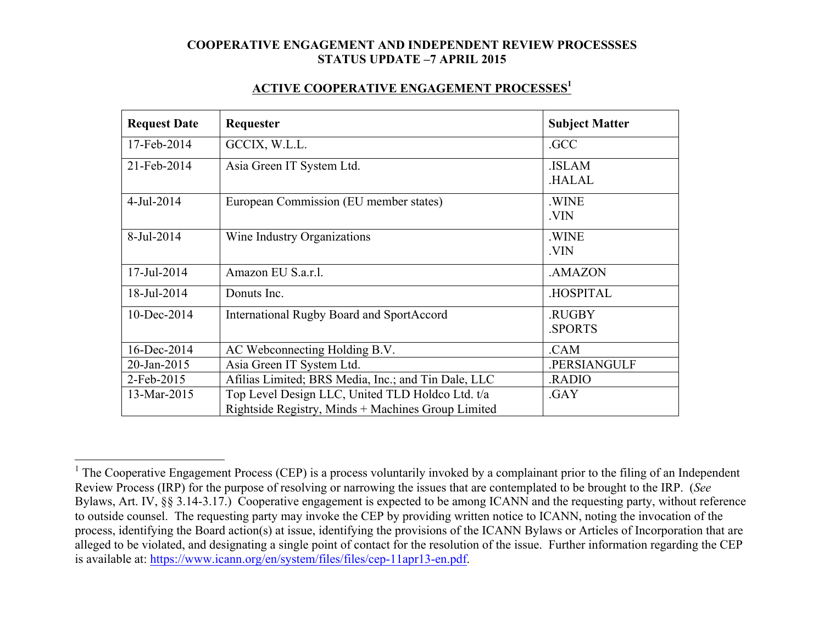#### **ACTIVE COOPERATIVE ENGAGEMENT PROCESSES1**

| <b>Request Date</b> | Requester                                           | <b>Subject Matter</b>  |
|---------------------|-----------------------------------------------------|------------------------|
| 17-Feb-2014         | GCCIX, W.L.L.                                       | .GCC                   |
| 21-Feb-2014         | Asia Green IT System Ltd.                           | .ISLAM<br><b>HALAL</b> |
| 4-Jul-2014          | European Commission (EU member states)              | .WINE<br>.VIN          |
| 8-Jul-2014          | Wine Industry Organizations                         | .WINE<br>.VIN          |
| 17-Jul-2014         | Amazon EU S.a.r.l.                                  | .AMAZON                |
| 18-Jul-2014         | Donuts Inc.                                         | <b>HOSPITAL</b>        |
| 10-Dec-2014         | International Rugby Board and SportAccord           | .RUGBY<br>.SPORTS      |
| 16-Dec-2014         | AC Webconnecting Holding B.V.                       | .CAM                   |
| 20-Jan-2015         | Asia Green IT System Ltd.                           | .PERSIANGULF           |
| 2-Feb-2015          | Afilias Limited; BRS Media, Inc.; and Tin Dale, LLC | RADIO                  |
| 13-Mar-2015         | Top Level Design LLC, United TLD Holdco Ltd. t/a    | .GAY                   |
|                     | Rightside Registry, Minds + Machines Group Limited  |                        |

<sup>&</sup>lt;sup>1</sup> The Cooperative Engagement Process (CEP) is a process voluntarily invoked by a complainant prior to the filing of an Independent Review Process (IRP) for the purpose of resolving or narrowing the issues that are contemplated to be brought to the IRP. (*See* Bylaws, Art. IV, §§ 3.14-3.17.) Cooperative engagement is expected to be among ICANN and the requesting party, without reference to outside counsel. The requesting party may invoke the CEP by providing written notice to ICANN, noting the invocation of the process, identifying the Board action(s) at issue, identifying the provisions of the ICANN Bylaws or Articles of Incorporation that are alleged to be violated, and designating a single point of contact for the resolution of the issue. Further information regarding the CEP is available at: https://www.icann.org/en/system/files/files/cep-11apr13-en.pdf.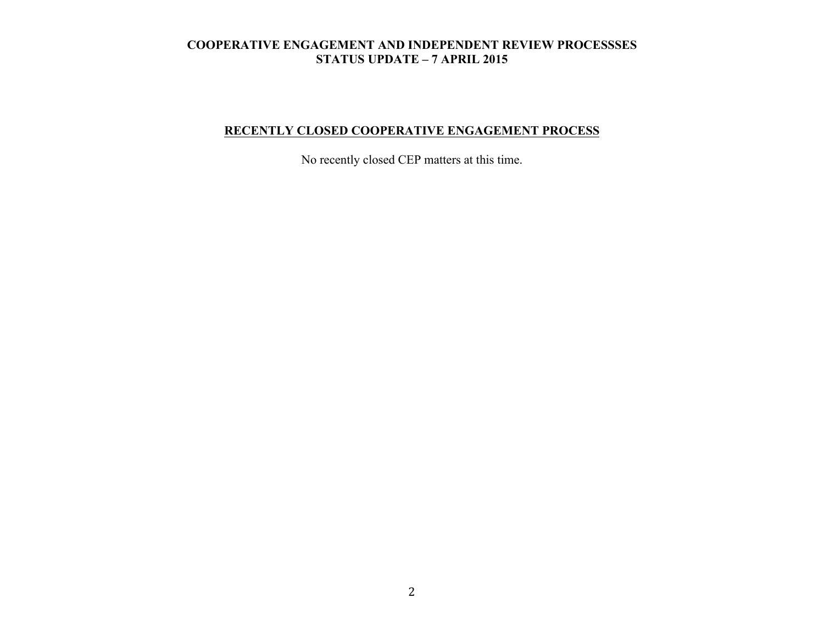# **RECENTLY CLOSED COOPERATIVE ENGAGEMENT PROCESS**

No recently closed CEP matters at this time.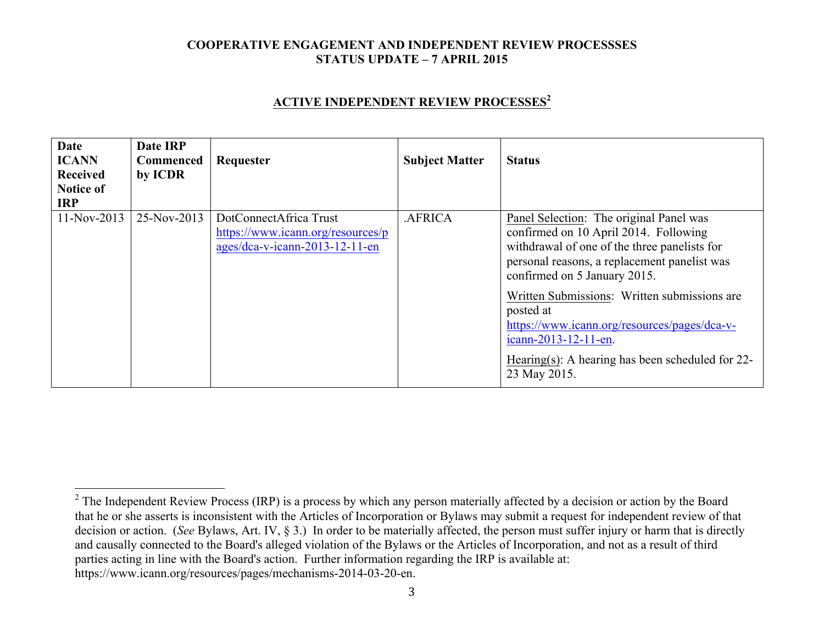#### **ACTIVE INDEPENDENT REVIEW PROCESSES<sup>2</sup>**

| Date<br><b>ICANN</b><br>Received<br><b>Notice of</b><br><b>IRP</b> | Date IRP<br>Commenced<br>by ICDR | Requester                                                                                     | <b>Subject Matter</b> | <b>Status</b>                                                                                                                                                                                                                                                                                                                                                                                                                |
|--------------------------------------------------------------------|----------------------------------|-----------------------------------------------------------------------------------------------|-----------------------|------------------------------------------------------------------------------------------------------------------------------------------------------------------------------------------------------------------------------------------------------------------------------------------------------------------------------------------------------------------------------------------------------------------------------|
| $11-Nov-2013$                                                      | 25-Nov-2013                      | DotConnectAfrica Trust<br>https://www.icann.org/resources/p<br>ages/dca-v-icann-2013-12-11-en | .AFRICA               | Panel Selection: The original Panel was<br>confirmed on 10 April 2014. Following<br>withdrawal of one of the three panelists for<br>personal reasons, a replacement panelist was<br>confirmed on 5 January 2015.<br>Written Submissions: Written submissions are<br>posted at<br>https://www.icann.org/resources/pages/dca-v-<br>icann-2013-12-11-en.<br>Hearing(s): A hearing has been scheduled for $22$ -<br>23 May 2015. |

<sup>&</sup>lt;sup>2</sup> The Independent Review Process (IRP) is a process by which any person materially affected by a decision or action by the Board that he or she asserts is inconsistent with the Articles of Incorporation or Bylaws may submit a request for independent review of that decision or action. (*See* Bylaws, Art. IV, § 3.) In order to be materially affected, the person must suffer injury or harm that is directly and causally connected to the Board's alleged violation of the Bylaws or the Articles of Incorporation, and not as a result of third parties acting in line with the Board's action. Further information regarding the IRP is available at: https://www.icann.org/resources/pages/mechanisms-2014-03-20-en.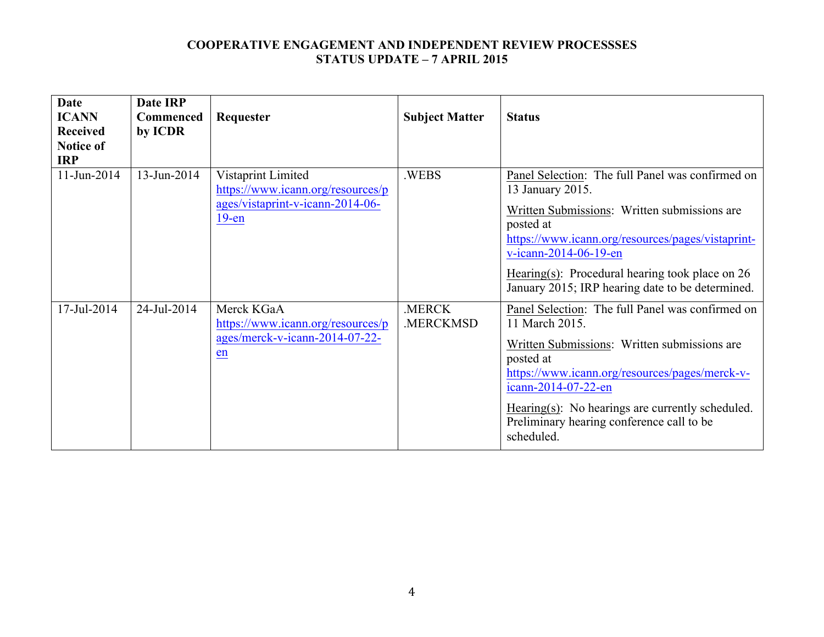| <b>Date</b><br><b>ICANN</b><br><b>Received</b><br><b>Notice of</b><br><b>IRP</b> | <b>Date IRP</b><br><b>Commenced</b><br>by ICDR | Requester                                                                                               | <b>Subject Matter</b> | <b>Status</b>                                                                                                                                                                                                                                                                                                              |
|----------------------------------------------------------------------------------|------------------------------------------------|---------------------------------------------------------------------------------------------------------|-----------------------|----------------------------------------------------------------------------------------------------------------------------------------------------------------------------------------------------------------------------------------------------------------------------------------------------------------------------|
| $11$ -Jun-2014                                                                   | 13-Jun-2014                                    | Vistaprint Limited<br>https://www.icann.org/resources/p<br>ages/vistaprint-v-icann-2014-06-<br>$19$ -en | .WEBS                 | Panel Selection: The full Panel was confirmed on<br>13 January 2015.<br>Written Submissions: Written submissions are<br>posted at<br>https://www.icann.org/resources/pages/vistaprint-<br>v-icann-2014-06-19-en<br>Hearing(s): Procedural hearing took place on $26$<br>January 2015; IRP hearing date to be determined.   |
| 17-Jul-2014                                                                      | 24-Jul-2014                                    | Merck KGaA<br>https://www.icann.org/resources/p<br>ages/merck-v-icann-2014-07-22-<br>en                 | .MERCK<br>.MERCKMSD   | Panel Selection: The full Panel was confirmed on<br>11 March 2015.<br>Written Submissions: Written submissions are<br>posted at<br>https://www.icann.org/resources/pages/merck-v-<br>icann-2014-07-22-en<br>$Hearing(s)$ : No hearings are currently scheduled.<br>Preliminary hearing conference call to be<br>scheduled. |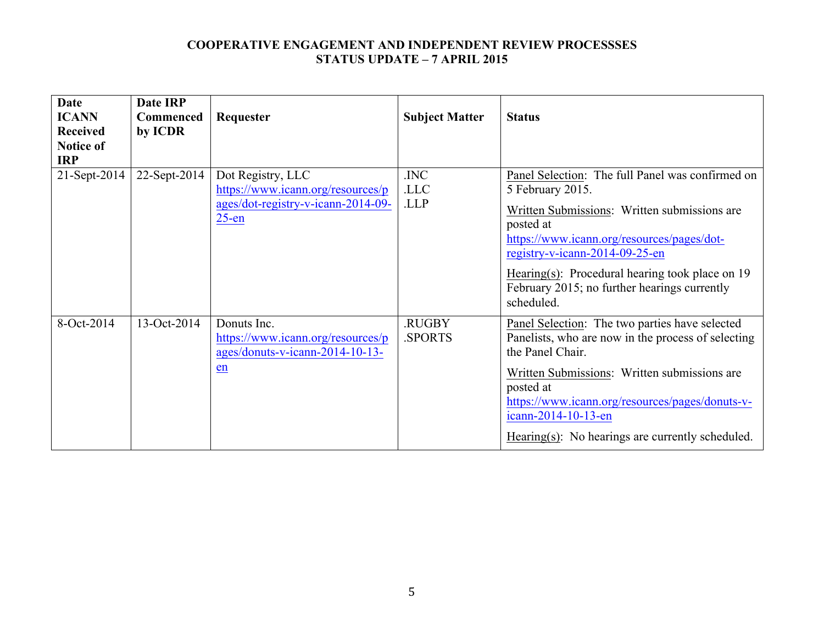| <b>Date</b><br><b>ICANN</b>    | <b>Date IRP</b><br><b>Commenced</b> | Requester                                                                                                | <b>Subject Matter</b> | <b>Status</b>                                                                                                                                                                                                                                                                                                                        |
|--------------------------------|-------------------------------------|----------------------------------------------------------------------------------------------------------|-----------------------|--------------------------------------------------------------------------------------------------------------------------------------------------------------------------------------------------------------------------------------------------------------------------------------------------------------------------------------|
| <b>Received</b>                | by ICDR                             |                                                                                                          |                       |                                                                                                                                                                                                                                                                                                                                      |
| <b>Notice of</b><br><b>IRP</b> |                                     |                                                                                                          |                       |                                                                                                                                                                                                                                                                                                                                      |
| 21-Sept-2014                   | 22-Sept-2014                        | Dot Registry, LLC<br>https://www.icann.org/resources/p<br>ages/dot-registry-v-icann-2014-09-<br>$25$ -en | .INC<br>.LLC<br>.LLP  | Panel Selection: The full Panel was confirmed on<br>5 February 2015.<br>Written Submissions: Written submissions are<br>posted at<br>https://www.icann.org/resources/pages/dot-<br>registry-v-icann-2014-09-25-en<br>Hearing(s): Procedural hearing took place on $19$<br>February 2015; no further hearings currently<br>scheduled. |
| 8-Oct-2014                     | 13-Oct-2014                         | Donuts Inc.<br>https://www.icann.org/resources/p<br>ages/donuts-v-icann-2014-10-13-<br>en                | .RUGBY<br>.SPORTS     | Panel Selection: The two parties have selected<br>Panelists, who are now in the process of selecting<br>the Panel Chair.<br>Written Submissions: Written submissions are<br>posted at<br>https://www.icann.org/resources/pages/donuts-v-<br>icann-2014-10-13-en<br>Hearing(s): No hearings are currently scheduled.                  |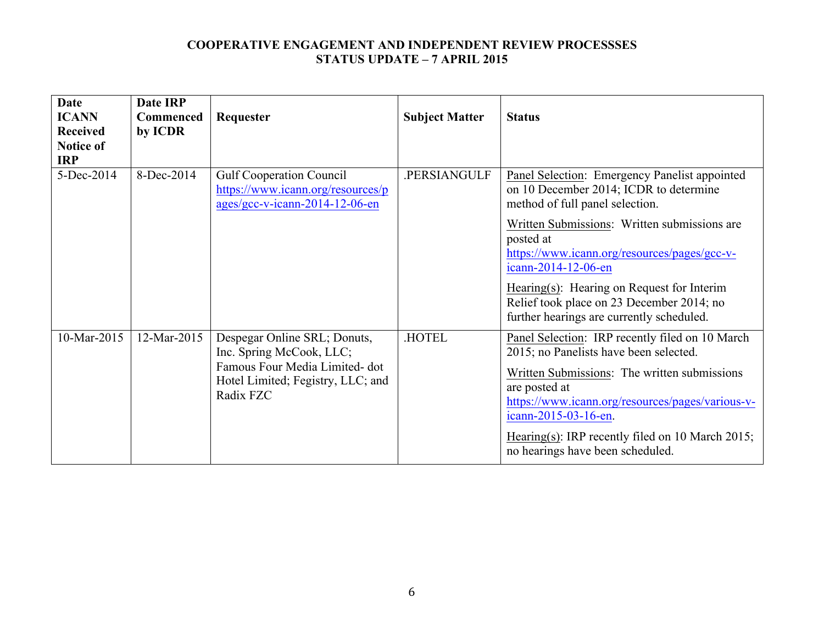| <b>Date</b><br><b>ICANN</b><br><b>Received</b><br><b>Notice of</b><br><b>IRP</b> | Date IRP<br><b>Commenced</b><br>by ICDR | Requester                                                                                                                                   | <b>Subject Matter</b> | <b>Status</b>                                                                                                                                                                                                                                                                                                                  |
|----------------------------------------------------------------------------------|-----------------------------------------|---------------------------------------------------------------------------------------------------------------------------------------------|-----------------------|--------------------------------------------------------------------------------------------------------------------------------------------------------------------------------------------------------------------------------------------------------------------------------------------------------------------------------|
| 5-Dec-2014                                                                       | 8-Dec-2014                              | <b>Gulf Cooperation Council</b><br>https://www.icann.org/resources/p<br>ages/gcc-v-icann-2014-12-06-en                                      | .PERSIANGULF          | Panel Selection: Emergency Panelist appointed<br>on 10 December 2014; ICDR to determine<br>method of full panel selection.<br>Written Submissions: Written submissions are                                                                                                                                                     |
|                                                                                  |                                         |                                                                                                                                             |                       | posted at<br>https://www.icann.org/resources/pages/gcc-v-<br>icann-2014-12-06-en<br>Hearing(s): Hearing on Request for Interim<br>Relief took place on 23 December 2014; no<br>further hearings are currently scheduled.                                                                                                       |
| 10-Mar-2015                                                                      | 12-Mar-2015                             | Despegar Online SRL; Donuts,<br>Inc. Spring McCook, LLC;<br>Famous Four Media Limited-dot<br>Hotel Limited; Fegistry, LLC; and<br>Radix FZC | <b>HOTEL</b>          | Panel Selection: IRP recently filed on 10 March<br>2015; no Panelists have been selected.<br>Written Submissions: The written submissions<br>are posted at<br>https://www.icann.org/resources/pages/various-v-<br>icann-2015-03-16-en.<br>Hearing(s): IRP recently filed on 10 March 2015;<br>no hearings have been scheduled. |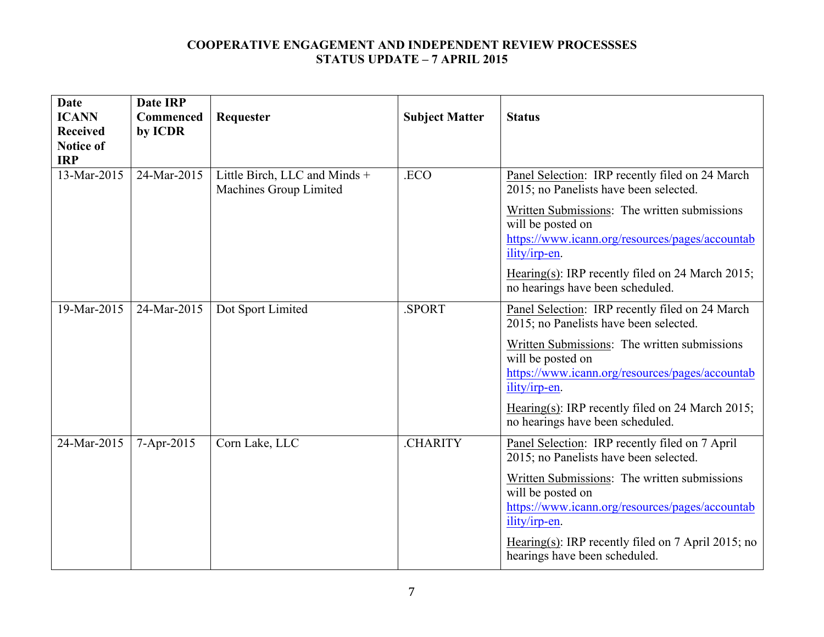| <b>Date</b><br><b>ICANN</b><br><b>Received</b><br><b>Notice of</b><br><b>IRP</b> | <b>Date IRP</b><br>Commenced<br>by ICDR | Requester                                               | <b>Subject Matter</b> | <b>Status</b>                                                                                                                                                                                                                                                                                                              |
|----------------------------------------------------------------------------------|-----------------------------------------|---------------------------------------------------------|-----------------------|----------------------------------------------------------------------------------------------------------------------------------------------------------------------------------------------------------------------------------------------------------------------------------------------------------------------------|
| 13-Mar-2015                                                                      | 24-Mar-2015                             | Little Birch, LLC and Minds +<br>Machines Group Limited | .ECO                  | Panel Selection: IRP recently filed on 24 March<br>2015; no Panelists have been selected.<br>Written Submissions: The written submissions<br>will be posted on<br>https://www.icann.org/resources/pages/accountab<br>ility/irp-en.<br>Hearing(s): IRP recently filed on 24 March 2015;<br>no hearings have been scheduled. |
| 19-Mar-2015                                                                      | 24-Mar-2015                             | Dot Sport Limited                                       | .SPORT                | Panel Selection: IRP recently filed on 24 March<br>2015; no Panelists have been selected.<br>Written Submissions: The written submissions<br>will be posted on<br>https://www.icann.org/resources/pages/accountab<br>ility/irp-en.<br>Hearing(s): IRP recently filed on 24 March 2015;<br>no hearings have been scheduled. |
| 24-Mar-2015                                                                      | 7-Apr-2015                              | Corn Lake, LLC                                          | .CHARITY              | Panel Selection: IRP recently filed on 7 April<br>2015; no Panelists have been selected.<br>Written Submissions: The written submissions<br>will be posted on<br>https://www.icann.org/resources/pages/accountab<br>ility/irp-en.<br>Hearing(s): IRP recently filed on $7$ April 2015; no<br>hearings have been scheduled. |